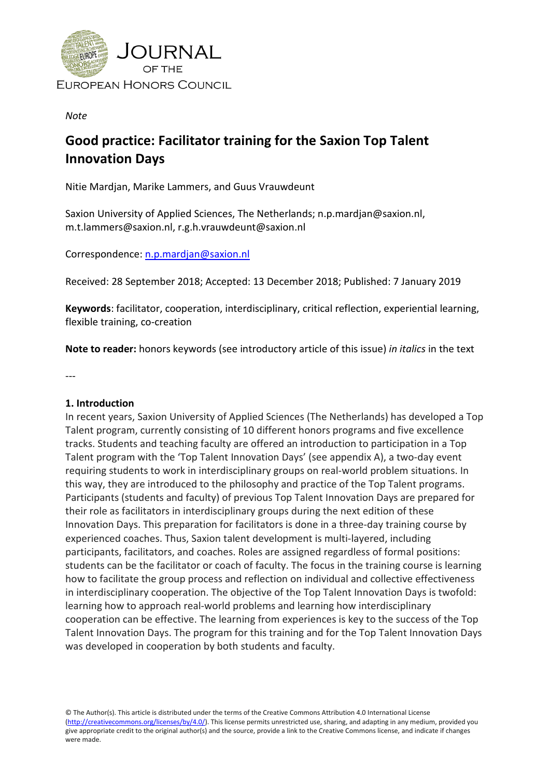

*Note*

# **Good practice: Facilitator training for the Saxion Top Talent Innovation Days**

Nitie Mardjan, Marike Lammers, and Guus Vrauwdeunt

Saxion University of Applied Sciences, The Netherlands; n.p.mardjan@saxion.nl, [m.t.lammers@saxion.nl,](mailto:m.t.lammers@saxion.nl) [r.g.h.vrauwdeunt@saxion.nl](mailto:r.g.h.vrauwdeunt@saxion.nl)

Correspondence: [n.p.mardjan@saxion.nl](mailto:n.p.mardjan@saxion.nl)

Received: 28 September 2018; Accepted: 13 December 2018; Published: 7 January 2019

**Keywords**: facilitator, cooperation, interdisciplinary, critical reflection, experiential learning, flexible training, co-creation

**Note to reader:** honors keywords (see introductory article of this issue) *in italics* in the text

---

#### **1. Introduction**

In recent years, Saxion University of Applied Sciences (The Netherlands) has developed a Top Talent program, currently consisting of 10 different honors programs and five excellence tracks. Students and teaching faculty are offered an introduction to participation in a Top Talent program with the 'Top Talent Innovation Days' (see appendix A), a two-day event requiring students to work in interdisciplinary groups on real-world problem situations. In this way, they are introduced to the philosophy and practice of the Top Talent programs. Participants (students and faculty) of previous Top Talent Innovation Days are prepared for their role as facilitators in interdisciplinary groups during the next edition of these Innovation Days. This preparation for facilitators is done in a three-day training course by experienced coaches. Thus, Saxion talent development is multi-layered, including participants, facilitators, and coaches. Roles are assigned regardless of formal positions: students can be the facilitator or coach of faculty. The focus in the training course is learning how to facilitate the group process and reflection on individual and collective effectiveness in interdisciplinary cooperation. The objective of the Top Talent Innovation Days is twofold: learning how to approach real-world problems and learning how interdisciplinary cooperation can be effective. The learning from experiences is key to the success of the Top Talent Innovation Days. The program for this training and for the Top Talent Innovation Days was developed in cooperation by both students and faculty.

© The Author(s). This article is distributed under the terms of the Creative Commons Attribution 4.0 International License [\(http://creativecommons.org/licenses/by/4.0/\)](http://creativecommons.org/licenses/by/4.0/). This license permits unrestricted use, sharing, and adapting in any medium, provided you give appropriate credit to the original author(s) and the source, provide a link to the Creative Commons license, and indicate if changes were made.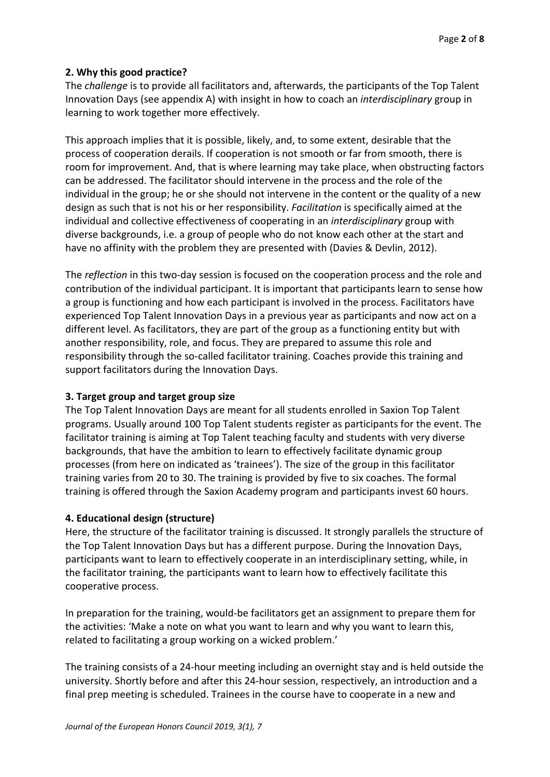### **2. Why this good practice?**

The *challenge* is to provide all facilitators and, afterwards, the participants of the Top Talent Innovation Days (see appendix A) with insight in how to coach an *interdisciplinary* group in learning to work together more effectively.

This approach implies that it is possible, likely, and, to some extent, desirable that the process of cooperation derails. If cooperation is not smooth or far from smooth, there is room for improvement. And, that is where learning may take place, when obstructing factors can be addressed. The facilitator should intervene in the process and the role of the individual in the group; he or she should not intervene in the content or the quality of a new design as such that is not his or her responsibility. *Facilitation* is specifically aimed at the individual and collective effectiveness of cooperating in an *interdisciplinary* group with diverse backgrounds, i.e. a group of people who do not know each other at the start and have no affinity with the problem they are presented with (Davies & Devlin, 2012).

The *reflection* in this two-day session is focused on the cooperation process and the role and contribution of the individual participant. It is important that participants learn to sense how a group is functioning and how each participant is involved in the process. Facilitators have experienced Top Talent Innovation Days in a previous year as participants and now act on a different level. As facilitators, they are part of the group as a functioning entity but with another responsibility, role, and focus. They are prepared to assume this role and responsibility through the so-called facilitator training. Coaches provide this training and support facilitators during the Innovation Days.

## **3. Target group and target group size**

The Top Talent Innovation Days are meant for all students enrolled in Saxion Top Talent programs. Usually around 100 Top Talent students register as participants for the event. The facilitator training is aiming at Top Talent teaching faculty and students with very diverse backgrounds, that have the ambition to learn to effectively facilitate dynamic group processes (from here on indicated as 'trainees'). The size of the group in this facilitator training varies from 20 to 30. The training is provided by five to six coaches. The formal training is offered through the Saxion Academy program and participants invest 60 hours.

### **4. Educational design (structure)**

Here, the structure of the facilitator training is discussed. It strongly parallels the structure of the Top Talent Innovation Days but has a different purpose. During the Innovation Days, participants want to learn to effectively cooperate in an interdisciplinary setting, while, in the facilitator training, the participants want to learn how to effectively facilitate this cooperative process.

In preparation for the training, would-be facilitators get an assignment to prepare them for the activities: 'Make a note on what you want to learn and why you want to learn this, related to facilitating a group working on a wicked problem.'

The training consists of a 24-hour meeting including an overnight stay and is held outside the university. Shortly before and after this 24-hour session, respectively, an introduction and a final prep meeting is scheduled. Trainees in the course have to cooperate in a new and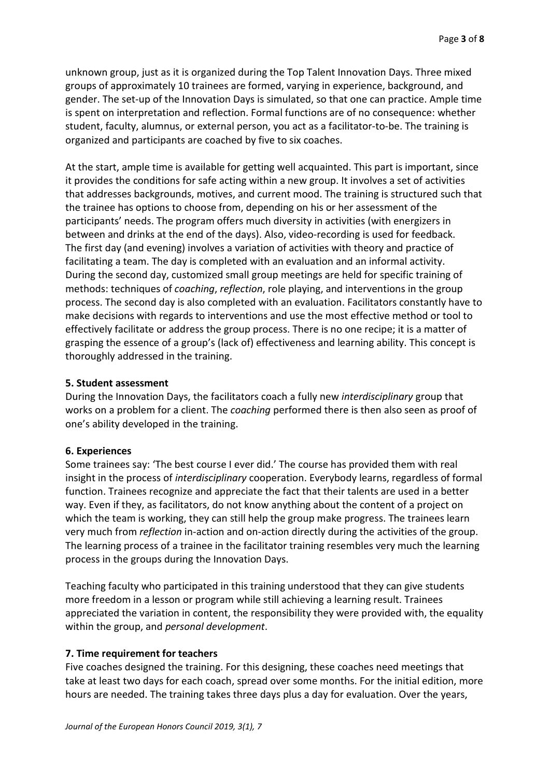unknown group, just as it is organized during the Top Talent Innovation Days. Three mixed groups of approximately 10 trainees are formed, varying in experience, background, and gender. The set-up of the Innovation Days is simulated, so that one can practice. Ample time is spent on interpretation and reflection. Formal functions are of no consequence: whether student, faculty, alumnus, or external person, you act as a facilitator-to-be. The training is organized and participants are coached by five to six coaches.

At the start, ample time is available for getting well acquainted. This part is important, since it provides the conditions for safe acting within a new group. It involves a set of activities that addresses backgrounds, motives, and current mood. The training is structured such that the trainee has options to choose from, depending on his or her assessment of the participants' needs. The program offers much diversity in activities (with energizers in between and drinks at the end of the days). Also, video-recording is used for feedback. The first day (and evening) involves a variation of activities with theory and practice of facilitating a team. The day is completed with an evaluation and an informal activity. During the second day, customized small group meetings are held for specific training of methods: techniques of *coaching*, *reflection*, role playing, and interventions in the group process. The second day is also completed with an evaluation. Facilitators constantly have to make decisions with regards to interventions and use the most effective method or tool to effectively facilitate or address the group process. There is no one recipe; it is a matter of grasping the essence of a group's (lack of) effectiveness and learning ability. This concept is thoroughly addressed in the training.

#### **5. Student assessment**

During the Innovation Days, the facilitators coach a fully new *interdisciplinary* group that works on a problem for a client. The *coaching* performed there is then also seen as proof of one's ability developed in the training.

#### **6. Experiences**

Some trainees say: 'The best course I ever did.' The course has provided them with real insight in the process of *interdisciplinary* cooperation. Everybody learns, regardless of formal function. Trainees recognize and appreciate the fact that their talents are used in a better way. Even if they, as facilitators, do not know anything about the content of a project on which the team is working, they can still help the group make progress. The trainees learn very much from *reflection* in-action and on-action directly during the activities of the group. The learning process of a trainee in the facilitator training resembles very much the learning process in the groups during the Innovation Days.

Teaching faculty who participated in this training understood that they can give students more freedom in a lesson or program while still achieving a learning result. Trainees appreciated the variation in content, the responsibility they were provided with, the equality within the group, and *personal development*.

#### **7. Time requirement for teachers**

Five coaches designed the training. For this designing, these coaches need meetings that take at least two days for each coach, spread over some months. For the initial edition, more hours are needed. The training takes three days plus a day for evaluation. Over the years,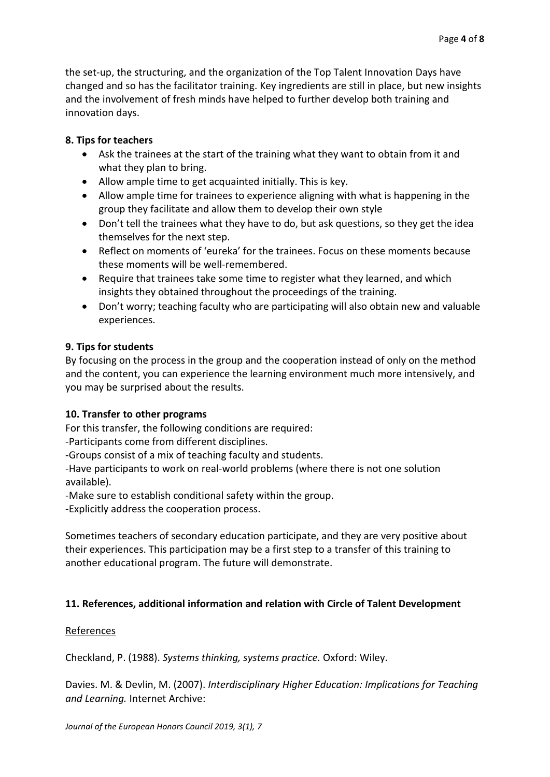the set-up, the structuring, and the organization of the Top Talent Innovation Days have changed and so has the facilitator training. Key ingredients are still in place, but new insights and the involvement of fresh minds have helped to further develop both training and innovation days.

### **8. Tips for teachers**

- Ask the trainees at the start of the training what they want to obtain from it and what they plan to bring.
- Allow ample time to get acquainted initially. This is key.
- Allow ample time for trainees to experience aligning with what is happening in the group they facilitate and allow them to develop their own style
- Don't tell the trainees what they have to do, but ask questions, so they get the idea themselves for the next step.
- Reflect on moments of 'eureka' for the trainees. Focus on these moments because these moments will be well-remembered.
- Require that trainees take some time to register what they learned, and which insights they obtained throughout the proceedings of the training.
- Don't worry; teaching faculty who are participating will also obtain new and valuable experiences.

### **9. Tips for students**

By focusing on the process in the group and the cooperation instead of only on the method and the content, you can experience the learning environment much more intensively, and you may be surprised about the results.

## **10. Transfer to other programs**

For this transfer, the following conditions are required:

-Participants come from different disciplines.

-Groups consist of a mix of teaching faculty and students.

-Have participants to work on real-world problems (where there is not one solution available).

-Make sure to establish conditional safety within the group.

-Explicitly address the cooperation process.

Sometimes teachers of secondary education participate, and they are very positive about their experiences. This participation may be a first step to a transfer of this training to another educational program. The future will demonstrate.

## **11. References, additional information and relation with Circle of Talent Development**

### References

Checkland, P. (1988). *Systems thinking, systems practice.* Oxford: Wiley.

Davies. M. & Devlin, M. (2007). *Interdisciplinary Higher Education: Implications for Teaching and Learning.* Internet Archive: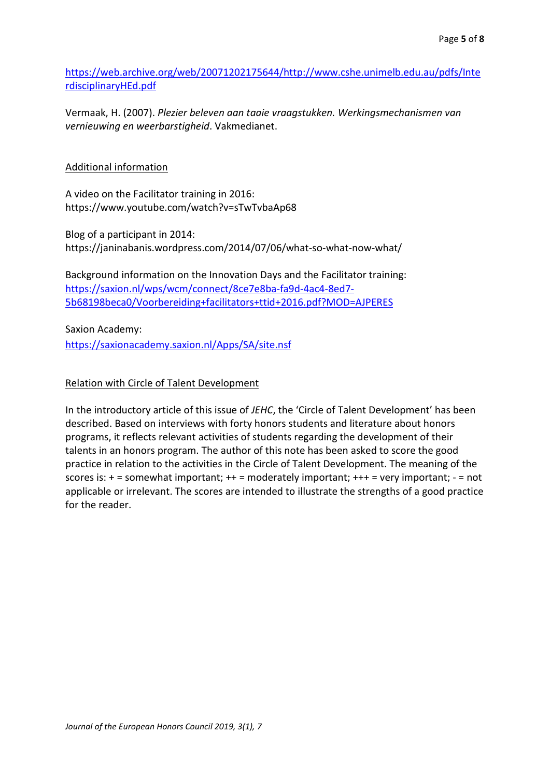[https://web.archive.org/web/20071202175644/http://www.cshe.unimelb.edu.au/pdfs/Inte](https://web.archive.org/web/20071202175644/http:/www.cshe.unimelb.edu.au/pdfs/InterdisciplinaryHEd.pdf) [rdisciplinaryHEd.pdf](https://web.archive.org/web/20071202175644/http:/www.cshe.unimelb.edu.au/pdfs/InterdisciplinaryHEd.pdf)

Vermaak, H. (2007). *Plezier beleven aan taaie vraagstukken. Werkingsmechanismen van vernieuwing en weerbarstigheid*. Vakmedianet.

#### Additional information

A video on the Facilitator training in 2016: https://www.youtube.com/watch?v=sTwTvbaAp68

Blog of a participant in 2014: https://janinabanis.wordpress.com/2014/07/06/what-so-what-now-what/

Background information on the Innovation Days and the Facilitator training: [https://saxion.nl/wps/wcm/connect/8ce7e8ba-fa9d-4ac4-8ed7-](https://saxion.nl/wps/wcm/connect/8ce7e8ba-fa9d-4ac4-8ed7-5b68198beca0/Voorbereiding+facilitators+ttid+2016.pdf?MOD=AJPERES) [5b68198beca0/Voorbereiding+facilitators+ttid+2016.pdf?MOD=AJPERES](https://saxion.nl/wps/wcm/connect/8ce7e8ba-fa9d-4ac4-8ed7-5b68198beca0/Voorbereiding+facilitators+ttid+2016.pdf?MOD=AJPERES)

Saxion Academy: <https://saxionacademy.saxion.nl/Apps/SA/site.nsf>

#### Relation with Circle of Talent Development

In the introductory article of this issue of *JEHC*, the 'Circle of Talent Development' has been described. Based on interviews with forty honors students and literature about honors programs, it reflects relevant activities of students regarding the development of their talents in an honors program. The author of this note has been asked to score the good practice in relation to the activities in the Circle of Talent Development. The meaning of the scores is:  $+$  = somewhat important;  $++$  = moderately important;  $++$  = very important;  $-$  = not applicable or irrelevant. The scores are intended to illustrate the strengths of a good practice for the reader.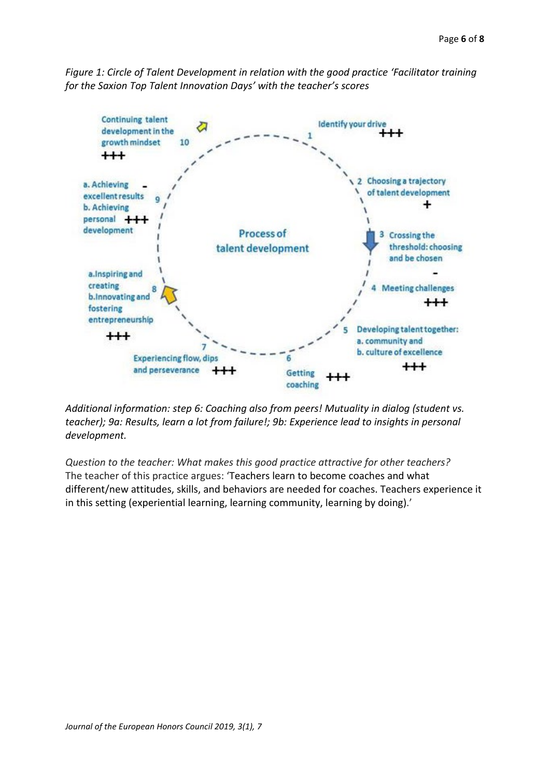*Figure 1: Circle of Talent Development in relation with the good practice 'Facilitator training for the Saxion Top Talent Innovation Days' with the teacher's scores*



*Additional information: step 6: Coaching also from peers! Mutuality in dialog (student vs. teacher); 9a: Results, learn a lot from failure!; 9b: Experience lead to insights in personal development.*

*Question to the teacher: What makes this good practice attractive for other teachers?*  The teacher of this practice argues: 'Teachers learn to become coaches and what different/new attitudes, skills, and behaviors are needed for coaches. Teachers experience it in this setting (experiential learning, learning community, learning by doing).'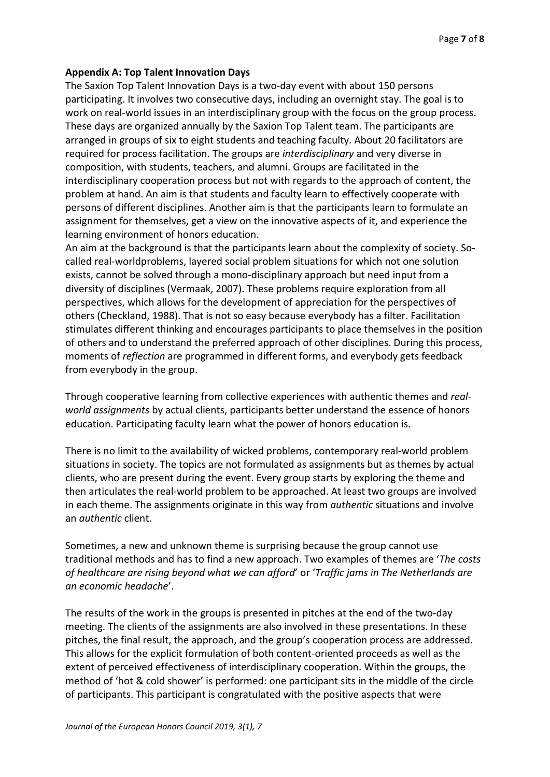#### **Appendix A: Top Talent Innovation Days**

The Saxion Top Talent Innovation Days is a two-day event with about 150 persons participating. It involves two consecutive days, including an overnight stay. The goal is to work on real-world issues in an interdisciplinary group with the focus on the group process. These days are organized annually by the Saxion Top Talent team. The participants are arranged in groups of six to eight students and teaching faculty. About 20 facilitators are required for process facilitation. The groups are *interdisciplinary* and very diverse in composition, with students, teachers, and alumni. Groups are facilitated in the interdisciplinary cooperation process but not with regards to the approach of content, the problem at hand. An aim is that students and faculty learn to effectively cooperate with persons of different disciplines. Another aim is that the participants learn to formulate an assignment for themselves, get a view on the innovative aspects of it, and experience the learning environment of honors education.

An aim at the background is that the participants learn about the complexity of society. Socalled real-worldproblems, layered social problem situations for which not one solution exists, cannot be solved through a mono-disciplinary approach but need input from a diversity of disciplines (Vermaak, 2007). These problems require exploration from all perspectives, which allows for the development of appreciation for the perspectives of others (Checkland, 1988). That is not so easy because everybody has a filter. Facilitation stimulates different thinking and encourages participants to place themselves in the position of others and to understand the preferred approach of other disciplines. During this process, moments of *reflection* are programmed in different forms, and everybody gets feedback from everybody in the group.

Through cooperative learning from collective experiences with authentic themes and *realworld assignments* by actual clients, participants better understand the essence of honors education. Participating faculty learn what the power of honors education is.

There is no limit to the availability of wicked problems, contemporary real-world problem situations in society. The topics are not formulated as assignments but as themes by actual clients, who are present during the event. Every group starts by exploring the theme and then articulates the real-world problem to be approached. At least two groups are involved in each theme. The assignments originate in this way from *authentic* situations and involve an *authentic* client.

Sometimes, a new and unknown theme is surprising because the group cannot use traditional methods and has to find a new approach. Two examples of themes are '*The costs of healthcare are rising beyond what we can afford*' or '*Traffic jams in The Netherlands are an economic headache*'.

The results of the work in the groups is presented in pitches at the end of the two-day meeting. The clients of the assignments are also involved in these presentations. In these pitches, the final result, the approach, and the group's cooperation process are addressed. This allows for the explicit formulation of both content-oriented proceeds as well as the extent of perceived effectiveness of interdisciplinary cooperation. Within the groups, the method of 'hot & cold shower' is performed: one participant sits in the middle of the circle of participants. This participant is congratulated with the positive aspects that were